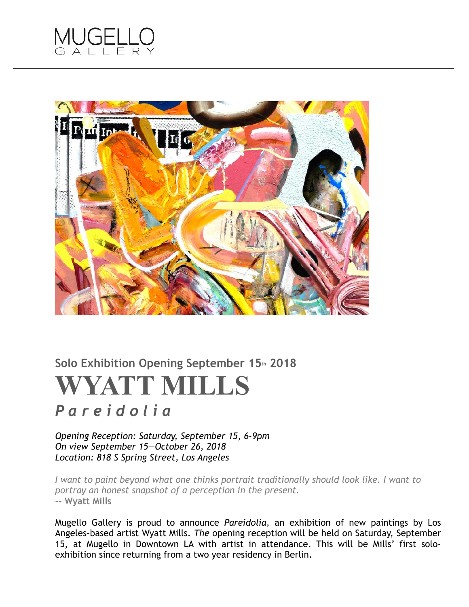



## Solo Exhibition Opening September 15th 2018 **WYATT MILLS**

## *P a r e i d o l i a*

*Opening Reception: Saturday, September 15, 6-9pm On view September 15—October 26, 2018 Location: 818 S Spring Street, Los Angeles*

*I want to paint beyond what one thinks portrait traditionally should look like. I want to portray an honest snapshot of a perception in the present.*  **-- Wyatt Mills**

Mugello Gallery is proud to announce *Pareidolia*, an exhibition of new paintings by Los Angeles-based artist Wyatt Mills. *The* opening reception will be held on Saturday, September 15, at Mugello in Downtown LA with artist in attendance. This will be Mills' first soloexhibition since returning from a two year residency in Berlin.